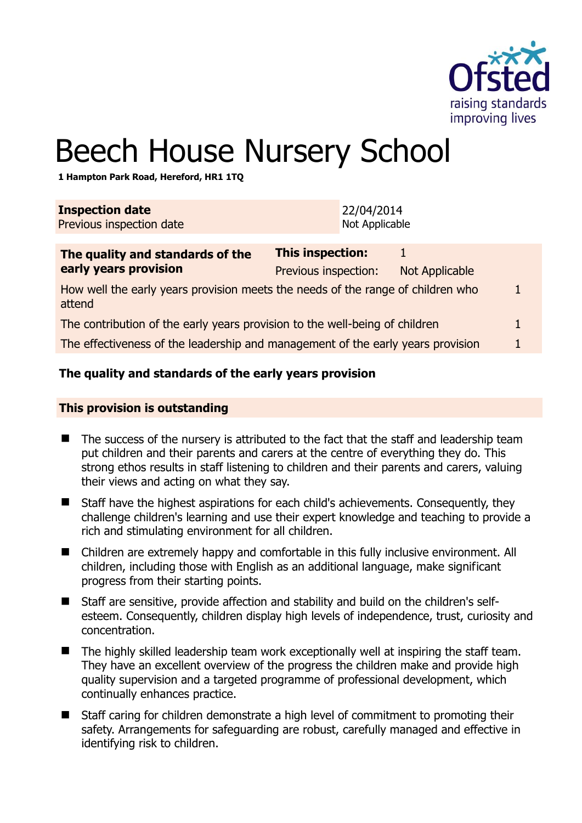

# Beech House Nursery School

**1 Hampton Park Road, Hereford, HR1 1TQ** 

| <b>Inspection date</b><br>Previous inspection date                                        |                                                 | 22/04/2014<br>Not Applicable |                       |  |
|-------------------------------------------------------------------------------------------|-------------------------------------------------|------------------------------|-----------------------|--|
| The quality and standards of the<br>early years provision                                 | <b>This inspection:</b><br>Previous inspection: |                              | <b>Not Applicable</b> |  |
| How well the early years provision meets the needs of the range of children who<br>attend |                                                 |                              |                       |  |
| The contribution of the early years provision to the well-being of children<br>1.         |                                                 |                              |                       |  |
| The effectiveness of the leadership and management of the early years provision           |                                                 |                              |                       |  |
|                                                                                           |                                                 |                              |                       |  |

# **The quality and standards of the early years provision**

#### **This provision is outstanding**

- The success of the nursery is attributed to the fact that the staff and leadership team put children and their parents and carers at the centre of everything they do. This strong ethos results in staff listening to children and their parents and carers, valuing their views and acting on what they say.
- Staff have the highest aspirations for each child's achievements. Consequently, they challenge children's learning and use their expert knowledge and teaching to provide a rich and stimulating environment for all children.
- Children are extremely happy and comfortable in this fully inclusive environment. All children, including those with English as an additional language, make significant progress from their starting points.
- Staff are sensitive, provide affection and stability and build on the children's selfesteem. Consequently, children display high levels of independence, trust, curiosity and concentration.
- The highly skilled leadership team work exceptionally well at inspiring the staff team. They have an excellent overview of the progress the children make and provide high quality supervision and a targeted programme of professional development, which continually enhances practice.
- Staff caring for children demonstrate a high level of commitment to promoting their safety. Arrangements for safeguarding are robust, carefully managed and effective in identifying risk to children.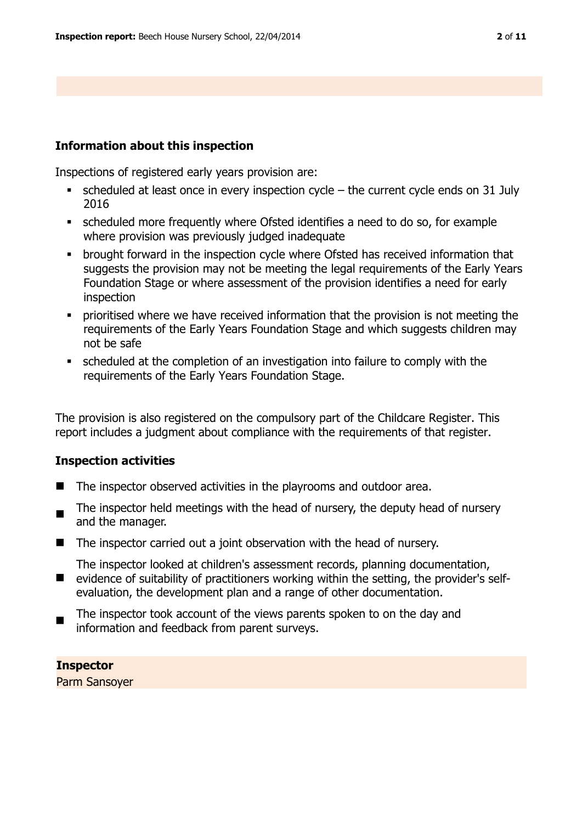### **Information about this inspection**

Inspections of registered early years provision are:

- scheduled at least once in every inspection cycle the current cycle ends on 31 July 2016
- scheduled more frequently where Ofsted identifies a need to do so, for example where provision was previously judged inadequate
- brought forward in the inspection cycle where Ofsted has received information that suggests the provision may not be meeting the legal requirements of the Early Years Foundation Stage or where assessment of the provision identifies a need for early inspection
- prioritised where we have received information that the provision is not meeting the requirements of the Early Years Foundation Stage and which suggests children may not be safe
- scheduled at the completion of an investigation into failure to comply with the requirements of the Early Years Foundation Stage.

The provision is also registered on the compulsory part of the Childcare Register. This report includes a judgment about compliance with the requirements of that register.

#### **Inspection activities**

- The inspector observed activities in the playrooms and outdoor area.
- $\blacksquare$ The inspector held meetings with the head of nursery, the deputy head of nursery and the manager.
- The inspector carried out a joint observation with the head of nursery.
- The inspector looked at children's assessment records, planning documentation,
- $\blacksquare$ evidence of suitability of practitioners working within the setting, the provider's selfevaluation, the development plan and a range of other documentation.
- $\blacksquare$ The inspector took account of the views parents spoken to on the day and information and feedback from parent surveys.

#### **Inspector**

Parm Sansoyer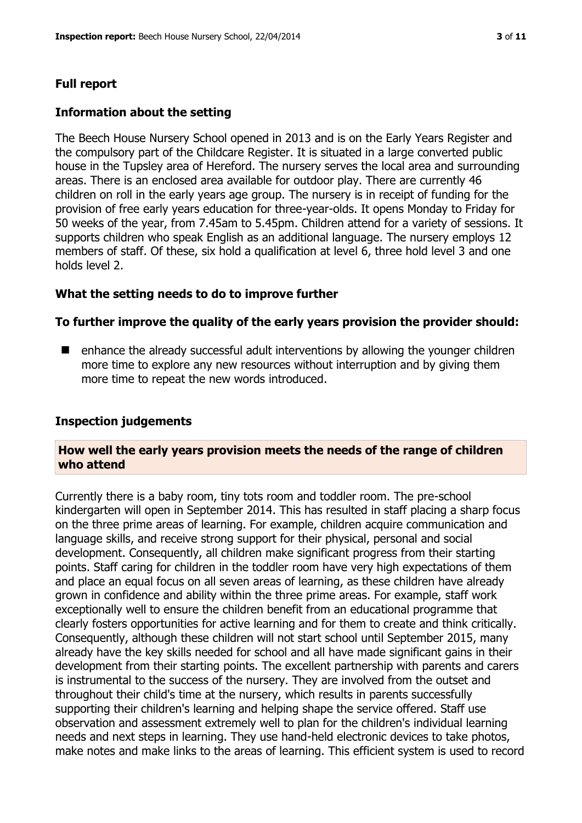#### **Full report**

#### **Information about the setting**

The Beech House Nursery School opened in 2013 and is on the Early Years Register and the compulsory part of the Childcare Register. It is situated in a large converted public house in the Tupsley area of Hereford. The nursery serves the local area and surrounding areas. There is an enclosed area available for outdoor play. There are currently 46 children on roll in the early years age group. The nursery is in receipt of funding for the provision of free early years education for three-year-olds. It opens Monday to Friday for 50 weeks of the year, from 7.45am to 5.45pm. Children attend for a variety of sessions. It supports children who speak English as an additional language. The nursery employs 12 members of staff. Of these, six hold a qualification at level 6, three hold level 3 and one holds level 2.

#### **What the setting needs to do to improve further**

#### **To further improve the quality of the early years provision the provider should:**

 $\blacksquare$  enhance the already successful adult interventions by allowing the younger children more time to explore any new resources without interruption and by giving them more time to repeat the new words introduced.

#### **Inspection judgements**

#### **How well the early years provision meets the needs of the range of children who attend**

Currently there is a baby room, tiny tots room and toddler room. The pre-school kindergarten will open in September 2014. This has resulted in staff placing a sharp focus on the three prime areas of learning. For example, children acquire communication and language skills, and receive strong support for their physical, personal and social development. Consequently, all children make significant progress from their starting points. Staff caring for children in the toddler room have very high expectations of them and place an equal focus on all seven areas of learning, as these children have already grown in confidence and ability within the three prime areas. For example, staff work exceptionally well to ensure the children benefit from an educational programme that clearly fosters opportunities for active learning and for them to create and think critically. Consequently, although these children will not start school until September 2015, many already have the key skills needed for school and all have made significant gains in their development from their starting points. The excellent partnership with parents and carers is instrumental to the success of the nursery. They are involved from the outset and throughout their child's time at the nursery, which results in parents successfully supporting their children's learning and helping shape the service offered. Staff use observation and assessment extremely well to plan for the children's individual learning needs and next steps in learning. They use hand-held electronic devices to take photos, make notes and make links to the areas of learning. This efficient system is used to record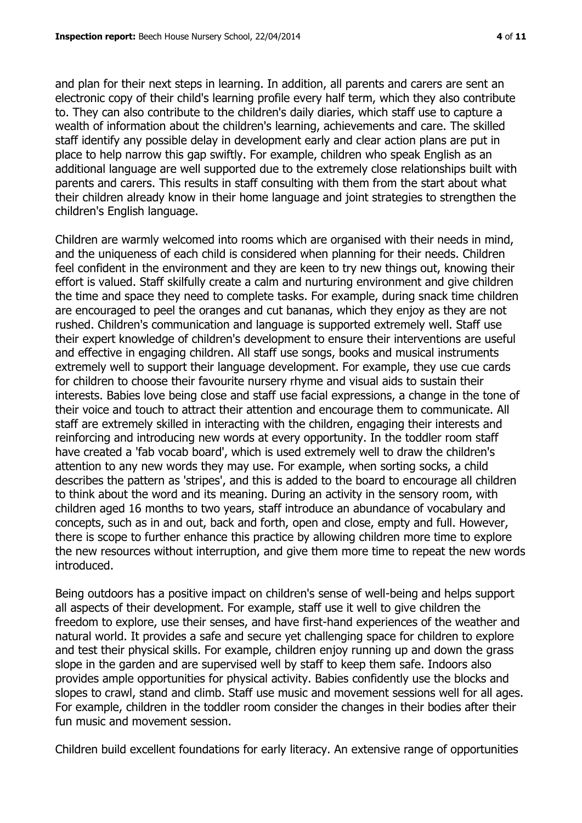and plan for their next steps in learning. In addition, all parents and carers are sent an electronic copy of their child's learning profile every half term, which they also contribute to. They can also contribute to the children's daily diaries, which staff use to capture a wealth of information about the children's learning, achievements and care. The skilled staff identify any possible delay in development early and clear action plans are put in place to help narrow this gap swiftly. For example, children who speak English as an additional language are well supported due to the extremely close relationships built with parents and carers. This results in staff consulting with them from the start about what their children already know in their home language and joint strategies to strengthen the children's English language.

Children are warmly welcomed into rooms which are organised with their needs in mind, and the uniqueness of each child is considered when planning for their needs. Children feel confident in the environment and they are keen to try new things out, knowing their effort is valued. Staff skilfully create a calm and nurturing environment and give children the time and space they need to complete tasks. For example, during snack time children are encouraged to peel the oranges and cut bananas, which they enjoy as they are not rushed. Children's communication and language is supported extremely well. Staff use their expert knowledge of children's development to ensure their interventions are useful and effective in engaging children. All staff use songs, books and musical instruments extremely well to support their language development. For example, they use cue cards for children to choose their favourite nursery rhyme and visual aids to sustain their interests. Babies love being close and staff use facial expressions, a change in the tone of their voice and touch to attract their attention and encourage them to communicate. All staff are extremely skilled in interacting with the children, engaging their interests and reinforcing and introducing new words at every opportunity. In the toddler room staff have created a 'fab vocab board', which is used extremely well to draw the children's attention to any new words they may use. For example, when sorting socks, a child describes the pattern as 'stripes', and this is added to the board to encourage all children to think about the word and its meaning. During an activity in the sensory room, with children aged 16 months to two years, staff introduce an abundance of vocabulary and concepts, such as in and out, back and forth, open and close, empty and full. However, there is scope to further enhance this practice by allowing children more time to explore the new resources without interruption, and give them more time to repeat the new words introduced.

Being outdoors has a positive impact on children's sense of well-being and helps support all aspects of their development. For example, staff use it well to give children the freedom to explore, use their senses, and have first-hand experiences of the weather and natural world. It provides a safe and secure yet challenging space for children to explore and test their physical skills. For example, children enjoy running up and down the grass slope in the garden and are supervised well by staff to keep them safe. Indoors also provides ample opportunities for physical activity. Babies confidently use the blocks and slopes to crawl, stand and climb. Staff use music and movement sessions well for all ages. For example, children in the toddler room consider the changes in their bodies after their fun music and movement session.

Children build excellent foundations for early literacy. An extensive range of opportunities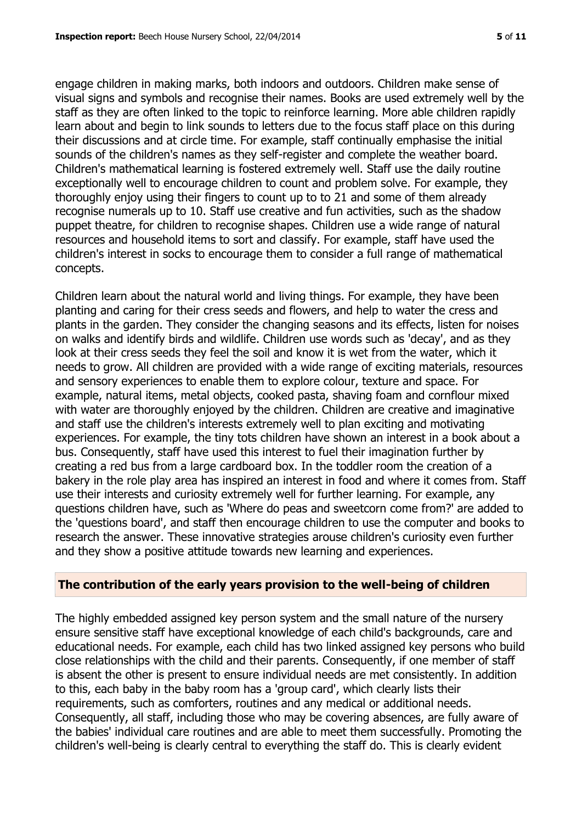engage children in making marks, both indoors and outdoors. Children make sense of visual signs and symbols and recognise their names. Books are used extremely well by the staff as they are often linked to the topic to reinforce learning. More able children rapidly learn about and begin to link sounds to letters due to the focus staff place on this during their discussions and at circle time. For example, staff continually emphasise the initial sounds of the children's names as they self-register and complete the weather board. Children's mathematical learning is fostered extremely well. Staff use the daily routine exceptionally well to encourage children to count and problem solve. For example, they thoroughly enjoy using their fingers to count up to to 21 and some of them already recognise numerals up to 10. Staff use creative and fun activities, such as the shadow puppet theatre, for children to recognise shapes. Children use a wide range of natural resources and household items to sort and classify. For example, staff have used the children's interest in socks to encourage them to consider a full range of mathematical concepts.

Children learn about the natural world and living things. For example, they have been planting and caring for their cress seeds and flowers, and help to water the cress and plants in the garden. They consider the changing seasons and its effects, listen for noises on walks and identify birds and wildlife. Children use words such as 'decay', and as they look at their cress seeds they feel the soil and know it is wet from the water, which it needs to grow. All children are provided with a wide range of exciting materials, resources and sensory experiences to enable them to explore colour, texture and space. For example, natural items, metal objects, cooked pasta, shaving foam and cornflour mixed with water are thoroughly enjoyed by the children. Children are creative and imaginative and staff use the children's interests extremely well to plan exciting and motivating experiences. For example, the tiny tots children have shown an interest in a book about a bus. Consequently, staff have used this interest to fuel their imagination further by creating a red bus from a large cardboard box. In the toddler room the creation of a bakery in the role play area has inspired an interest in food and where it comes from. Staff use their interests and curiosity extremely well for further learning. For example, any questions children have, such as 'Where do peas and sweetcorn come from?' are added to the 'questions board', and staff then encourage children to use the computer and books to research the answer. These innovative strategies arouse children's curiosity even further and they show a positive attitude towards new learning and experiences.

#### **The contribution of the early years provision to the well-being of children**

The highly embedded assigned key person system and the small nature of the nursery ensure sensitive staff have exceptional knowledge of each child's backgrounds, care and educational needs. For example, each child has two linked assigned key persons who build close relationships with the child and their parents. Consequently, if one member of staff is absent the other is present to ensure individual needs are met consistently. In addition to this, each baby in the baby room has a 'group card', which clearly lists their requirements, such as comforters, routines and any medical or additional needs. Consequently, all staff, including those who may be covering absences, are fully aware of the babies' individual care routines and are able to meet them successfully. Promoting the children's well-being is clearly central to everything the staff do. This is clearly evident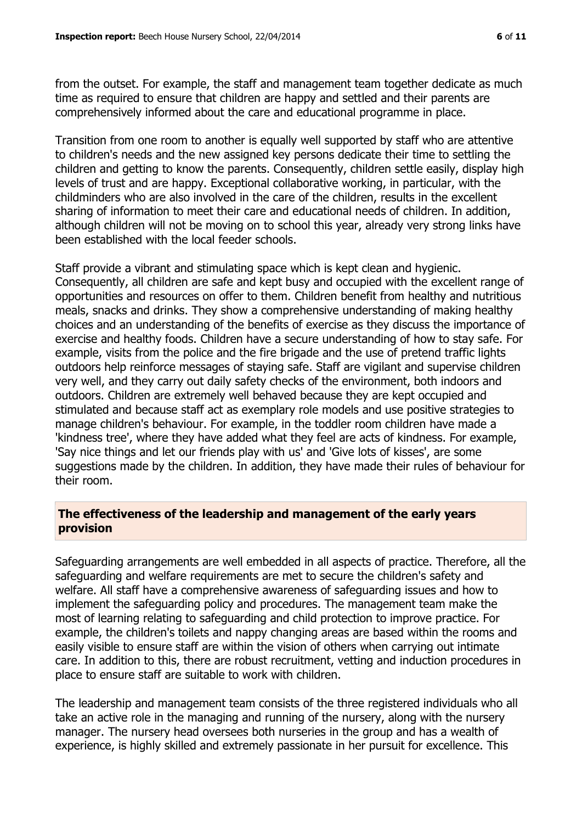from the outset. For example, the staff and management team together dedicate as much time as required to ensure that children are happy and settled and their parents are comprehensively informed about the care and educational programme in place.

Transition from one room to another is equally well supported by staff who are attentive to children's needs and the new assigned key persons dedicate their time to settling the children and getting to know the parents. Consequently, children settle easily, display high levels of trust and are happy. Exceptional collaborative working, in particular, with the childminders who are also involved in the care of the children, results in the excellent sharing of information to meet their care and educational needs of children. In addition, although children will not be moving on to school this year, already very strong links have been established with the local feeder schools.

Staff provide a vibrant and stimulating space which is kept clean and hygienic. Consequently, all children are safe and kept busy and occupied with the excellent range of opportunities and resources on offer to them. Children benefit from healthy and nutritious meals, snacks and drinks. They show a comprehensive understanding of making healthy choices and an understanding of the benefits of exercise as they discuss the importance of exercise and healthy foods. Children have a secure understanding of how to stay safe. For example, visits from the police and the fire brigade and the use of pretend traffic lights outdoors help reinforce messages of staying safe. Staff are vigilant and supervise children very well, and they carry out daily safety checks of the environment, both indoors and outdoors. Children are extremely well behaved because they are kept occupied and stimulated and because staff act as exemplary role models and use positive strategies to manage children's behaviour. For example, in the toddler room children have made a 'kindness tree', where they have added what they feel are acts of kindness. For example, 'Say nice things and let our friends play with us' and 'Give lots of kisses', are some suggestions made by the children. In addition, they have made their rules of behaviour for their room.

# **The effectiveness of the leadership and management of the early years provision**

Safeguarding arrangements are well embedded in all aspects of practice. Therefore, all the safeguarding and welfare requirements are met to secure the children's safety and welfare. All staff have a comprehensive awareness of safeguarding issues and how to implement the safeguarding policy and procedures. The management team make the most of learning relating to safeguarding and child protection to improve practice. For example, the children's toilets and nappy changing areas are based within the rooms and easily visible to ensure staff are within the vision of others when carrying out intimate care. In addition to this, there are robust recruitment, vetting and induction procedures in place to ensure staff are suitable to work with children.

The leadership and management team consists of the three registered individuals who all take an active role in the managing and running of the nursery, along with the nursery manager. The nursery head oversees both nurseries in the group and has a wealth of experience, is highly skilled and extremely passionate in her pursuit for excellence. This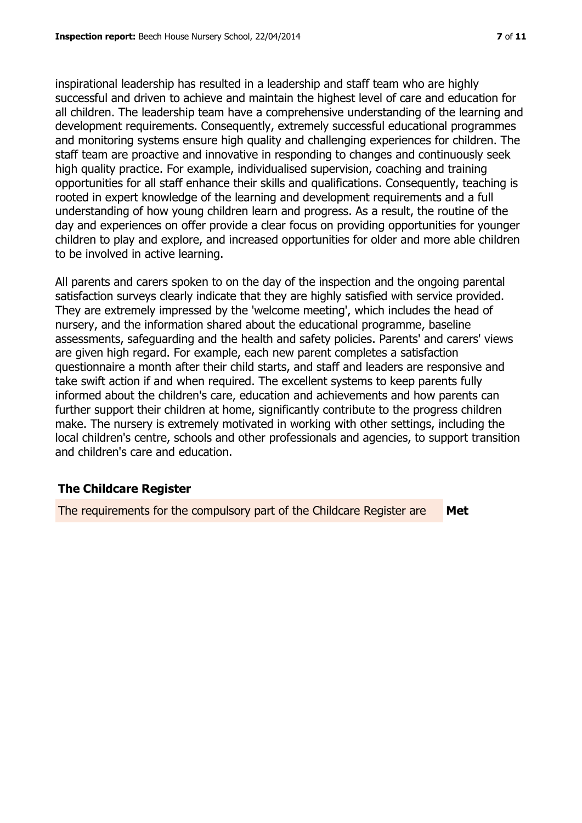inspirational leadership has resulted in a leadership and staff team who are highly successful and driven to achieve and maintain the highest level of care and education for all children. The leadership team have a comprehensive understanding of the learning and development requirements. Consequently, extremely successful educational programmes and monitoring systems ensure high quality and challenging experiences for children. The staff team are proactive and innovative in responding to changes and continuously seek high quality practice. For example, individualised supervision, coaching and training opportunities for all staff enhance their skills and qualifications. Consequently, teaching is rooted in expert knowledge of the learning and development requirements and a full understanding of how young children learn and progress. As a result, the routine of the day and experiences on offer provide a clear focus on providing opportunities for younger children to play and explore, and increased opportunities for older and more able children to be involved in active learning.

All parents and carers spoken to on the day of the inspection and the ongoing parental satisfaction surveys clearly indicate that they are highly satisfied with service provided. They are extremely impressed by the 'welcome meeting', which includes the head of nursery, and the information shared about the educational programme, baseline assessments, safeguarding and the health and safety policies. Parents' and carers' views are given high regard. For example, each new parent completes a satisfaction questionnaire a month after their child starts, and staff and leaders are responsive and take swift action if and when required. The excellent systems to keep parents fully informed about the children's care, education and achievements and how parents can further support their children at home, significantly contribute to the progress children make. The nursery is extremely motivated in working with other settings, including the local children's centre, schools and other professionals and agencies, to support transition and children's care and education.

# **The Childcare Register**

The requirements for the compulsory part of the Childcare Register are **Met**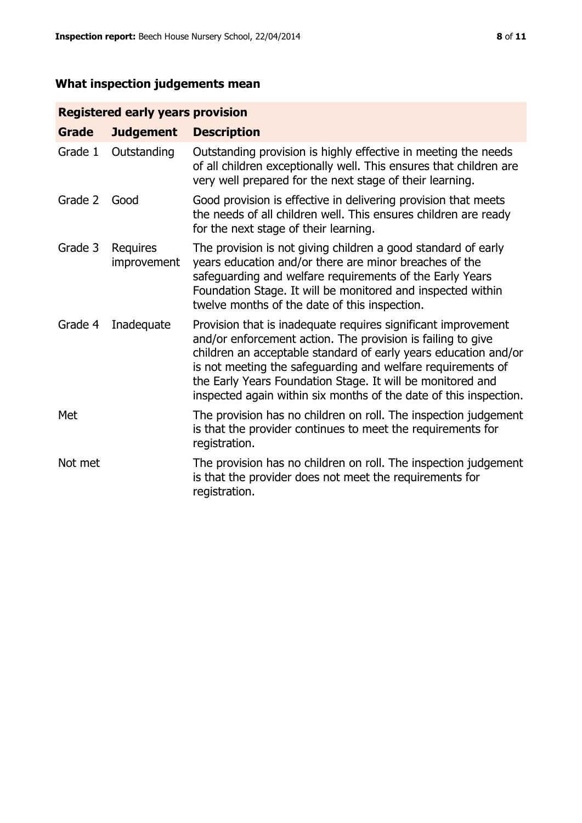# **What inspection judgements mean**

# **Registered early years provision**

| <b>Grade</b> | <b>Judgement</b>        | <b>Description</b>                                                                                                                                                                                                                                                                                                                                                                                |
|--------------|-------------------------|---------------------------------------------------------------------------------------------------------------------------------------------------------------------------------------------------------------------------------------------------------------------------------------------------------------------------------------------------------------------------------------------------|
| Grade 1      | Outstanding             | Outstanding provision is highly effective in meeting the needs<br>of all children exceptionally well. This ensures that children are<br>very well prepared for the next stage of their learning.                                                                                                                                                                                                  |
| Grade 2      | Good                    | Good provision is effective in delivering provision that meets<br>the needs of all children well. This ensures children are ready<br>for the next stage of their learning.                                                                                                                                                                                                                        |
| Grade 3      | Requires<br>improvement | The provision is not giving children a good standard of early<br>years education and/or there are minor breaches of the<br>safeguarding and welfare requirements of the Early Years<br>Foundation Stage. It will be monitored and inspected within<br>twelve months of the date of this inspection.                                                                                               |
| Grade 4      | Inadequate              | Provision that is inadequate requires significant improvement<br>and/or enforcement action. The provision is failing to give<br>children an acceptable standard of early years education and/or<br>is not meeting the safeguarding and welfare requirements of<br>the Early Years Foundation Stage. It will be monitored and<br>inspected again within six months of the date of this inspection. |
| Met          |                         | The provision has no children on roll. The inspection judgement<br>is that the provider continues to meet the requirements for<br>registration.                                                                                                                                                                                                                                                   |
| Not met      |                         | The provision has no children on roll. The inspection judgement<br>is that the provider does not meet the requirements for<br>registration.                                                                                                                                                                                                                                                       |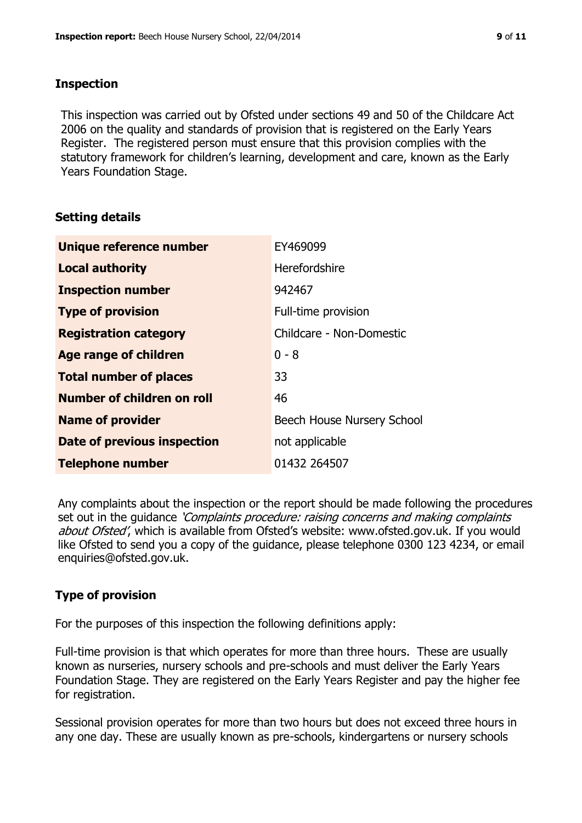# **Inspection**

This inspection was carried out by Ofsted under sections 49 and 50 of the Childcare Act 2006 on the quality and standards of provision that is registered on the Early Years Register. The registered person must ensure that this provision complies with the statutory framework for children's learning, development and care, known as the Early Years Foundation Stage.

# **Setting details**

| Unique reference number       | EY469099                   |
|-------------------------------|----------------------------|
| <b>Local authority</b>        | Herefordshire              |
| <b>Inspection number</b>      | 942467                     |
| <b>Type of provision</b>      | Full-time provision        |
| <b>Registration category</b>  | Childcare - Non-Domestic   |
| Age range of children         | $0 - 8$                    |
| <b>Total number of places</b> | 33                         |
| Number of children on roll    | 46                         |
| <b>Name of provider</b>       | Beech House Nursery School |
| Date of previous inspection   | not applicable             |
| <b>Telephone number</b>       | 01432 264507               |

Any complaints about the inspection or the report should be made following the procedures set out in the guidance *'Complaints procedure: raising concerns and making complaints* about Ofsted', which is available from Ofsted's website: www.ofsted.gov.uk. If you would like Ofsted to send you a copy of the guidance, please telephone 0300 123 4234, or email enquiries@ofsted.gov.uk.

# **Type of provision**

For the purposes of this inspection the following definitions apply:

Full-time provision is that which operates for more than three hours. These are usually known as nurseries, nursery schools and pre-schools and must deliver the Early Years Foundation Stage. They are registered on the Early Years Register and pay the higher fee for registration.

Sessional provision operates for more than two hours but does not exceed three hours in any one day. These are usually known as pre-schools, kindergartens or nursery schools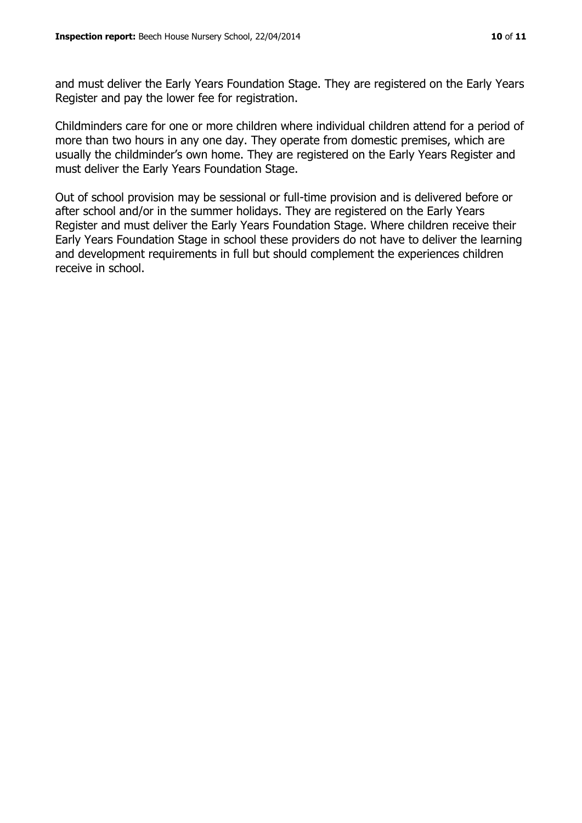and must deliver the Early Years Foundation Stage. They are registered on the Early Years Register and pay the lower fee for registration.

Childminders care for one or more children where individual children attend for a period of more than two hours in any one day. They operate from domestic premises, which are usually the childminder's own home. They are registered on the Early Years Register and must deliver the Early Years Foundation Stage.

Out of school provision may be sessional or full-time provision and is delivered before or after school and/or in the summer holidays. They are registered on the Early Years Register and must deliver the Early Years Foundation Stage. Where children receive their Early Years Foundation Stage in school these providers do not have to deliver the learning and development requirements in full but should complement the experiences children receive in school.